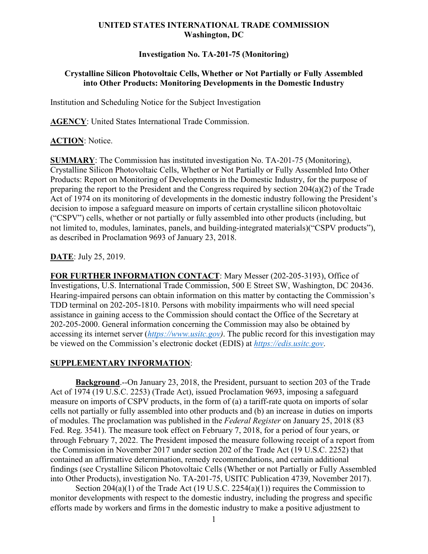## **UNITED STATES INTERNATIONAL TRADE COMMISSION Washington, DC**

## **Investigation No. TA-201-75 (Monitoring)**

# **Crystalline Silicon Photovoltaic Cells, Whether or Not Partially or Fully Assembled into Other Products: Monitoring Developments in the Domestic Industry**

Institution and Scheduling Notice for the Subject Investigation

**AGENCY**: United States International Trade Commission.

#### **ACTION**: Notice.

**SUMMARY**: The Commission has instituted investigation No. TA-201-75 (Monitoring), Crystalline Silicon Photovoltaic Cells, Whether or Not Partially or Fully Assembled Into Other Products: Report on Monitoring of Developments in the Domestic Industry, for the purpose of preparing the report to the President and the Congress required by section 204(a)(2) of the Trade Act of 1974 on its monitoring of developments in the domestic industry following the President's decision to impose a safeguard measure on imports of certain crystalline silicon photovoltaic ("CSPV") cells, whether or not partially or fully assembled into other products (including, but not limited to, modules, laminates, panels, and building-integrated materials)("CSPV products"), as described in Proclamation 9693 of January 23, 2018.

#### **DATE**: July 25, 2019.

**FOR FURTHER INFORMATION CONTACT**: Mary Messer (202-205-3193), Office of Investigations, U.S. International Trade Commission, 500 E Street SW, Washington, DC 20436. Hearing-impaired persons can obtain information on this matter by contacting the Commission's TDD terminal on 202-205-1810. Persons with mobility impairments who will need special assistance in gaining access to the Commission should contact the Office of the Secretary at 202-205-2000. General information concerning the Commission may also be obtained by accessing its internet server (*[https://www.usitc.gov\)](https://www.usitc.gov/)*. The public record for this investigation may be viewed on the Commission's electronic docket (EDIS) at *[https://edis.usitc.gov](https://edis.usitc.gov/)*.

#### **SUPPLEMENTARY INFORMATION**:

**Background**.--On January 23, 2018, the President, pursuant to section 203 of the Trade Act of 1974 (19 U.S.C. 2253) (Trade Act), issued Proclamation 9693, imposing a safeguard measure on imports of CSPV products, in the form of (a) a tariff-rate quota on imports of solar cells not partially or fully assembled into other products and (b) an increase in duties on imports of modules. The proclamation was published in the *Federal Register* on January 25, 2018 (83 Fed. Reg. 3541). The measure took effect on February 7, 2018, for a period of four years, or through February 7, 2022. The President imposed the measure following receipt of a report from the Commission in November 2017 under section 202 of the Trade Act (19 U.S.C. 2252) that contained an affirmative determination, remedy recommendations, and certain additional findings (see Crystalline Silicon Photovoltaic Cells (Whether or not Partially or Fully Assembled into Other Products), investigation No. TA-201-75, USITC Publication 4739, November 2017).

Section  $204(a)(1)$  of the Trade Act (19 U.S.C.  $2254(a)(1)$ ) requires the Commission to monitor developments with respect to the domestic industry, including the progress and specific efforts made by workers and firms in the domestic industry to make a positive adjustment to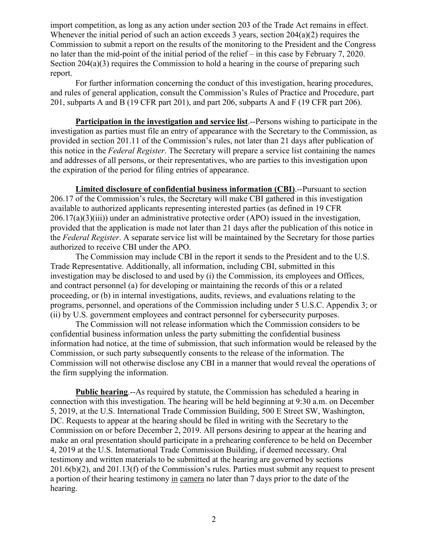import competition, as long as any action under section 203 of the Trade Act remains in effect. Whenever the initial period of such an action exceeds 3 years, section 204(a)(2) requires the Commission to submit a report on the results of the monitoring to the President and the Congress no later than the mid-point of the initial period of the relief – in this case by February 7, 2020. Section 204(a)(3) requires the Commission to hold a hearing in the course of preparing such report.

For further information concerning the conduct of this investigation, hearing procedures, and rules of general application, consult the Commission's Rules of Practice and Procedure, part 201, subparts A and B (19 CFR part 201), and part 206, subparts A and F (19 CFR part 206).

**Participation in the investigation and service list**.--Persons wishing to participate in the investigation as parties must file an entry of appearance with the Secretary to the Commission, as provided in section 201.11 of the Commission's rules, not later than 21 days after publication of this notice in the *Federal Register*. The Secretary will prepare a service list containing the names and addresses of all persons, or their representatives, who are parties to this investigation upon the expiration of the period for filing entries of appearance.

**Limited disclosure of confidential business information (CBI)**.--Pursuant to section 206.17 of the Commission's rules, the Secretary will make CBI gathered in this investigation available to authorized applicants representing interested parties (as defined in 19 CFR  $206.17(a)(3)(iii)$  under an administrative protective order (APO) issued in the investigation, provided that the application is made not later than 21 days after the publication of this notice in the *Federal Register*. A separate service list will be maintained by the Secretary for those parties authorized to receive CBI under the APO.

The Commission may include CBI in the report it sends to the President and to the U.S. Trade Representative. Additionally, all information, including CBI, submitted in this investigation may be disclosed to and used by (i) the Commission, its employees and Offices, and contract personnel (a) for developing or maintaining the records of this or a related proceeding, or (b) in internal investigations, audits, reviews, and evaluations relating to the programs, personnel, and operations of the Commission including under 5 U.S.C. Appendix 3; or (ii) by U.S. government employees and contract personnel for cybersecurity purposes.

The Commission will not release information which the Commission considers to be confidential business information unless the party submitting the confidential business information had notice, at the time of submission, that such information would be released by the Commission, or such party subsequently consents to the release of the information. The Commission will not otherwise disclose any CBI in a manner that would reveal the operations of the firm supplying the information.

**Public hearing.**--As required by statute, the Commission has scheduled a hearing in connection with this investigation. The hearing will be held beginning at 9:30 a.m. on December 5, 2019, at the U.S. International Trade Commission Building, 500 E Street SW, Washington, DC. Requests to appear at the hearing should be filed in writing with the Secretary to the Commission on or before December 2, 2019. All persons desiring to appear at the hearing and make an oral presentation should participate in a prehearing conference to be held on December 4, 2019 at the U.S. International Trade Commission Building, if deemed necessary. Oral testimony and written materials to be submitted at the hearing are governed by sections 201.6(b)(2), and 201.13(f) of the Commission's rules. Parties must submit any request to present a portion of their hearing testimony in camera no later than 7 days prior to the date of the hearing.